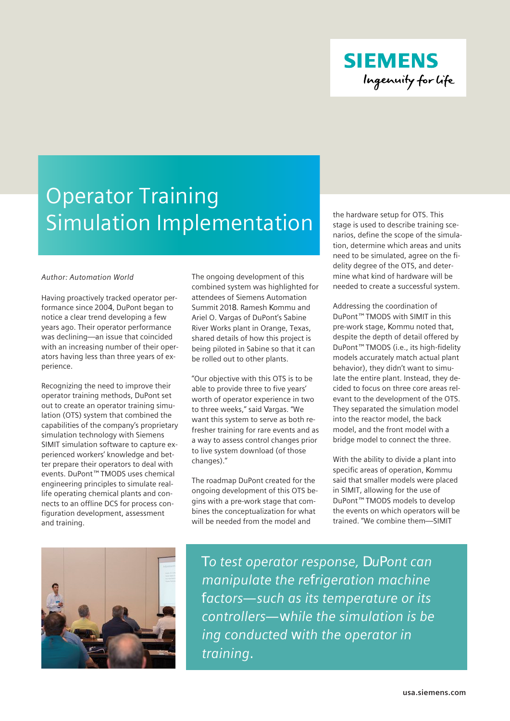

## Operator Training Simulation Implementation

## *Author: Automation World*

Having proactively tracked operator performance since 2004, DuPont began to notice a clear trend developing a few years ago. Their operator performance was declining—an issue that coincided with an increasing number of their operators having less than three years of experience.

Recognizing the need to improve their operator training methods, DuPont set out to create an operator training simulation (OTS) system that combined the capabilities of the company's proprietary simulation technology with Siemens SIMIT simulation software to capture experienced workers' knowledge and better prepare their operators to deal with events. DuPont™ TMODS uses chemical engineering principles to simulate reallife operating chemical plants and connects to an offline DCS for process configuration development, assessment and training.

The ongoing development of this combined system was highlighted for attendees of Siemens Automation Summit 2018. Ramesh Kommu and Ariel O. Vargas of DuPont's Sabine River Works plant in Orange, Texas, shared details of how this project is being piloted in Sabine so that it can be rolled out to other plants.

"Our objective with this OTS is to be able to provide three to five years' worth of operator experience in two to three weeks," said Vargas. "We want this system to serve as both refresher training for rare events and as a way to assess control changes prior to live system download (of those changes)."

The roadmap DuPont created for the ongoing development of this OTS begins with a pre-work stage that combines the conceptualization for what will be needed from the model and

the hardware setup for OTS. This stage is used to describe training scenarios, define the scope of the simulation, determine which areas and units need to be simulated, agree on the fidelity degree of the OTS, and determine what kind of hardware will be needed to create a successful system.

Addressing the coordination of DuPont™ TMODS with SIMIT in this pre-work stage, Kommu noted that, despite the depth of detail offered by DuPont™ TMODS (i.e., its high-fidelity models accurately match actual plant behavior), they didn't want to simulate the entire plant. Instead, they decided to focus on three core areas relevant to the development of the OTS. They separated the simulation model into the reactor model, the back model, and the front model with a bridge model to connect the three.

With the ability to divide a plant into specific areas of operation, Kommu said that smaller models were placed in SIMIT, allowing for the use of DuPont™ TMODS models to develop the events on which operators will be trained. "We combine them—SIMIT



*To test operator response, DuPont can manipulate the refrigeration machine factors—such as its temperature or its controllers—while the simulation is be ing conducted with the operator in training.*